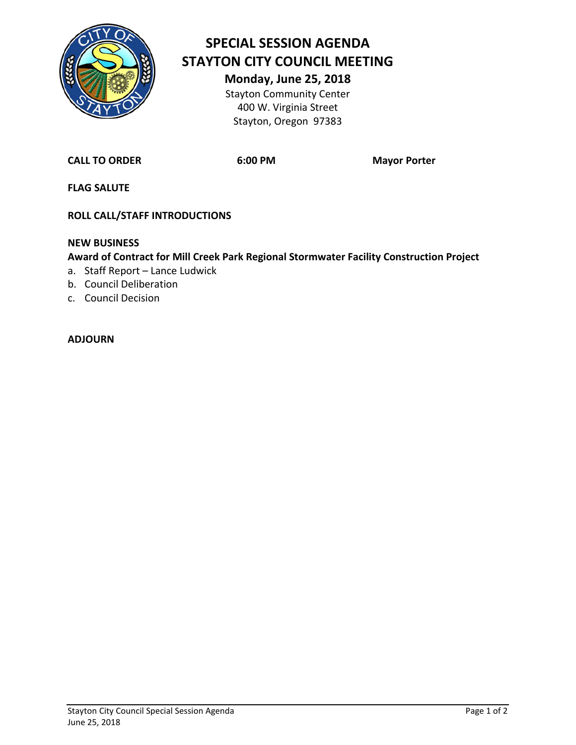

# **SPECIAL SESSION AGENDA STAYTON CITY COUNCIL MEETING**

**Monday, June 25, 2018** Stayton Community Center 400 W. Virginia Street Stayton, Oregon 97383

**CALL TO ORDER 6:00 PM Mayor Porter**

**FLAG SALUTE**

**ROLL CALL/STAFF INTRODUCTIONS**

#### **NEW BUSINESS**

#### **Award of Contract for Mill Creek Park Regional Stormwater Facility Construction Project**

- a. Staff Report Lance Ludwick
- b. Council Deliberation
- c. Council Decision

#### **ADJOURN**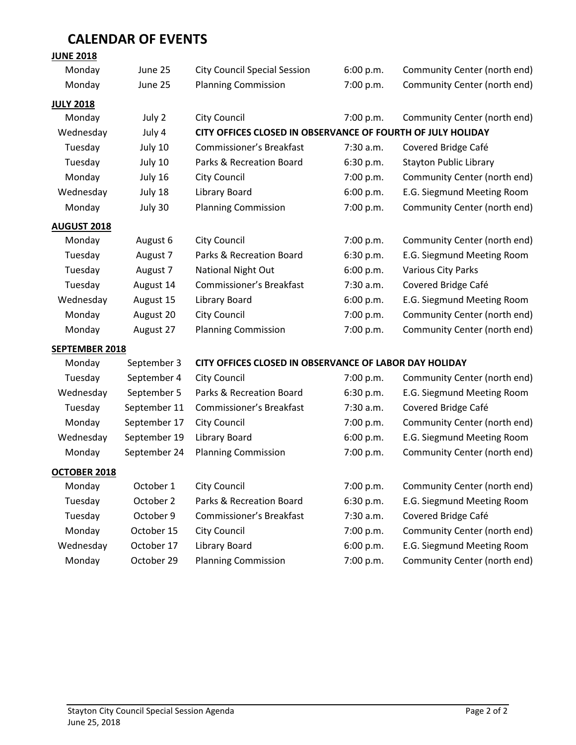### **CALENDAR OF EVENTS**

#### **JUNE 2018**

| Monday                | June 25                                 | <b>City Council Special Session</b>                         | 6:00 p.m. | Community Center (north end)  |  |  |  |
|-----------------------|-----------------------------------------|-------------------------------------------------------------|-----------|-------------------------------|--|--|--|
| Monday                | June 25                                 | <b>Planning Commission</b>                                  | 7:00 p.m. | Community Center (north end)  |  |  |  |
| <b>JULY 2018</b>      |                                         |                                                             |           |                               |  |  |  |
| Monday<br>July 2      |                                         | <b>City Council</b>                                         | 7:00 p.m. | Community Center (north end)  |  |  |  |
| Wednesday<br>July 4   |                                         | CITY OFFICES CLOSED IN OBSERVANCE OF FOURTH OF JULY HOLIDAY |           |                               |  |  |  |
| Tuesday               | July 10                                 | <b>Commissioner's Breakfast</b>                             | 7:30 a.m. | Covered Bridge Café           |  |  |  |
| Tuesday               | July 10                                 | Parks & Recreation Board                                    | 6:30 p.m. | <b>Stayton Public Library</b> |  |  |  |
| Monday                | July 16                                 | <b>City Council</b>                                         | 7:00 p.m. | Community Center (north end)  |  |  |  |
| Wednesday             | July 18                                 | Library Board                                               | 6:00 p.m. | E.G. Siegmund Meeting Room    |  |  |  |
| Monday                | July 30                                 | <b>Planning Commission</b>                                  | 7:00 p.m. | Community Center (north end)  |  |  |  |
| <b>AUGUST 2018</b>    |                                         |                                                             |           |                               |  |  |  |
| Monday                | August 6                                | <b>City Council</b>                                         | 7:00 p.m. | Community Center (north end)  |  |  |  |
| Tuesday               | August 7                                | Parks & Recreation Board                                    | 6:30 p.m. | E.G. Siegmund Meeting Room    |  |  |  |
| Tuesday               | August 7                                | <b>National Night Out</b>                                   | 6:00 p.m. | <b>Various City Parks</b>     |  |  |  |
| Tuesday               | August 14                               | <b>Commissioner's Breakfast</b>                             | 7:30 a.m. | Covered Bridge Café           |  |  |  |
| Wednesday             | August 15                               | Library Board                                               | 6:00 p.m. | E.G. Siegmund Meeting Room    |  |  |  |
| Monday                | August 20                               | City Council                                                | 7:00 p.m. | Community Center (north end)  |  |  |  |
| Monday                | <b>Planning Commission</b><br>August 27 |                                                             | 7:00 p.m. | Community Center (north end)  |  |  |  |
| <b>SEPTEMBER 2018</b> |                                         |                                                             |           |                               |  |  |  |
| Monday                | September 3                             | CITY OFFICES CLOSED IN OBSERVANCE OF LABOR DAY HOLIDAY      |           |                               |  |  |  |
| Tuesday               | September 4                             | <b>City Council</b>                                         | 7:00 p.m. | Community Center (north end)  |  |  |  |
| Wednesday             | September 5                             | Parks & Recreation Board                                    | 6:30 p.m. | E.G. Siegmund Meeting Room    |  |  |  |
| Tuesday               | September 11                            | Commissioner's Breakfast                                    | 7:30 a.m. | Covered Bridge Café           |  |  |  |
| Monday                | September 17                            | <b>City Council</b>                                         | 7:00 p.m. | Community Center (north end)  |  |  |  |
| Wednesday             | September 19                            | Library Board                                               | 6:00 p.m. | E.G. Siegmund Meeting Room    |  |  |  |
| Monday                | September 24                            | <b>Planning Commission</b>                                  | 7:00 p.m. | Community Center (north end)  |  |  |  |
| OCTOBER 2018          |                                         |                                                             |           |                               |  |  |  |
| Monday                | October 1<br><b>City Council</b>        |                                                             | 7:00 p.m. | Community Center (north end)  |  |  |  |
| Tuesday               | October 2                               | Parks & Recreation Board                                    | 6:30 p.m. | E.G. Siegmund Meeting Room    |  |  |  |
| Tuesday               | October 9                               | Commissioner's Breakfast                                    | 7:30 a.m. | Covered Bridge Café           |  |  |  |
| Monday                | October 15<br><b>City Council</b>       |                                                             | 7:00 p.m. | Community Center (north end)  |  |  |  |
| Wednesday             | October 17<br>Library Board             |                                                             | 6:00 p.m. | E.G. Siegmund Meeting Room    |  |  |  |
| Monday                | October 29                              | <b>Planning Commission</b>                                  | 7:00 p.m. | Community Center (north end)  |  |  |  |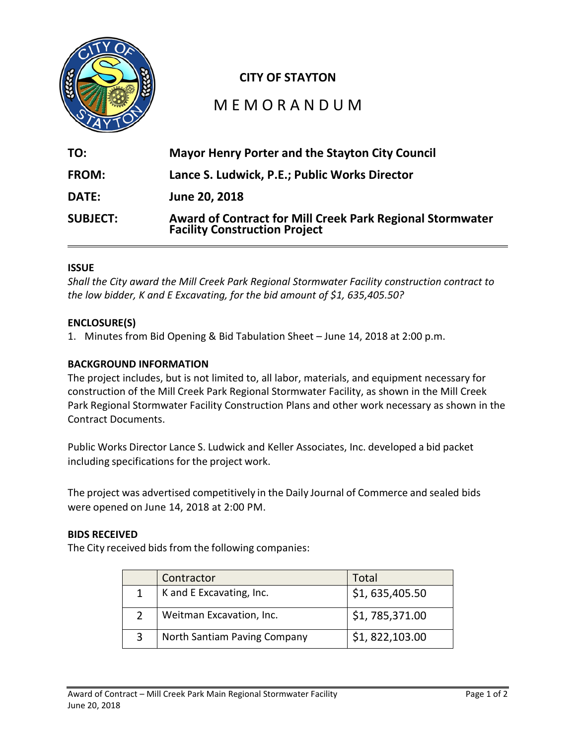

### **CITY OF STAYTON**

### M E M O R A N D U M

| TO:             | <b>Mayor Henry Porter and the Stayton City Council</b>                                            |
|-----------------|---------------------------------------------------------------------------------------------------|
| <b>FROM:</b>    | Lance S. Ludwick, P.E.; Public Works Director                                                     |
| <b>DATE:</b>    | June 20, 2018                                                                                     |
| <b>SUBJECT:</b> | Award of Contract for Mill Creek Park Regional Stormwater<br><b>Facility Construction Project</b> |

#### **ISSUE**

*Shall the City award the Mill Creek Park Regional Stormwater Facility construction contract to the low bidder, K and E Excavating, for the bid amount of \$1, 635,405.50?*

#### **ENCLOSURE(S)**

1. Minutes from Bid Opening & Bid Tabulation Sheet – June 14, 2018 at 2:00 p.m.

#### **BACKGROUND INFORMATION**

The project includes, but is not limited to, all labor, materials, and equipment necessary for construction of the Mill Creek Park Regional Stormwater Facility, as shown in the Mill Creek Park Regional Stormwater Facility Construction Plans and other work necessary as shown in the Contract Documents.

Public Works Director Lance S. Ludwick and Keller Associates, Inc. developed a bid packet including specifications for the project work.

The project was advertised competitively in the Daily Journal of Commerce and sealed bids were opened on June 14, 2018 at 2:00 PM.

#### **BIDS RECEIVED**

The City received bids from the following companies:

| Contractor                   | Total          |
|------------------------------|----------------|
| K and E Excavating, Inc.     | \$1,635,405.50 |
| Weitman Excavation, Inc.     | \$1,785,371.00 |
| North Santiam Paving Company | \$1,822,103.00 |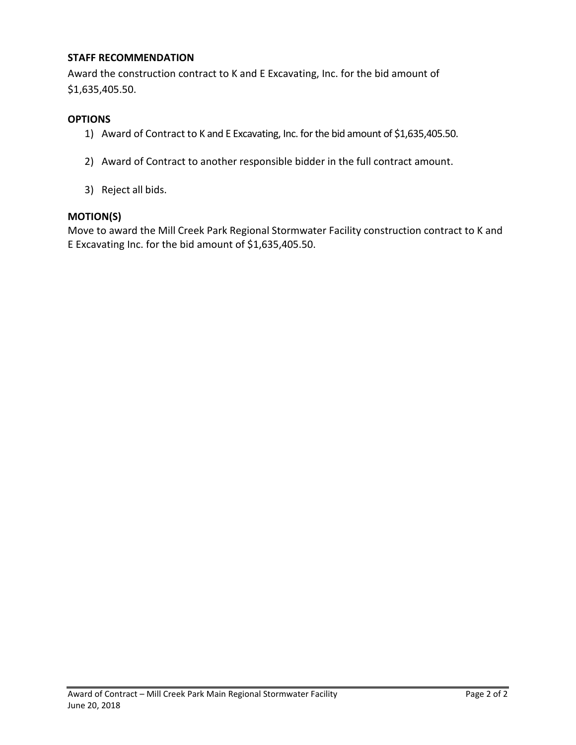#### **STAFF RECOMMENDATION**

Award the construction contract to K and E Excavating, Inc. for the bid amount of \$1,635,405.50.

#### **OPTIONS**

- 1) Award of Contract to K and E Excavating, Inc. for the bid amount of \$1,635,405.50.
- 2) Award of Contract to another responsible bidder in the full contract amount.
- 3) Reject all bids.

#### **MOTION(S)**

Move to award the Mill Creek Park Regional Stormwater Facility construction contract to K and E Excavating Inc. for the bid amount of \$1,635,405.50.